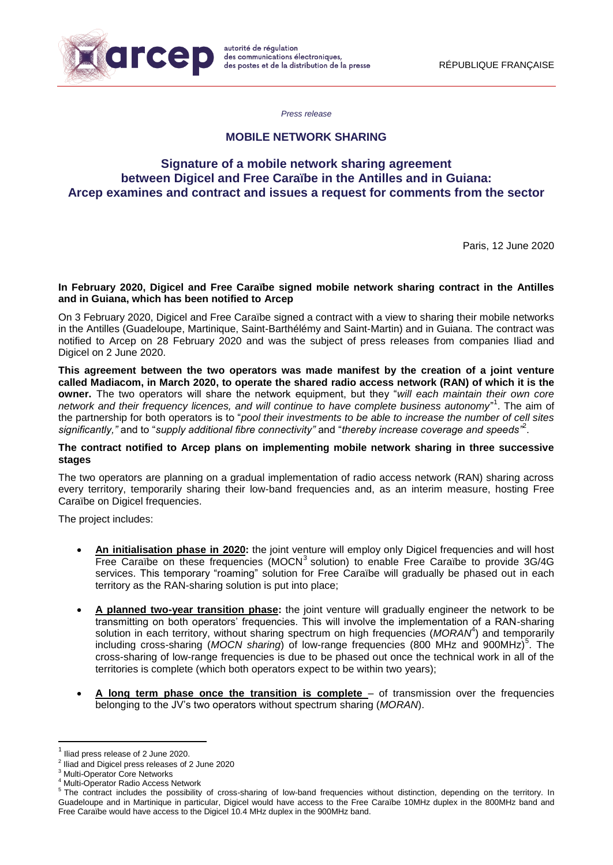

*Press release*

## **MOBILE NETWORK SHARING**

# **Signature of a mobile network sharing agreement between Digicel and Free Caraïbe in the Antilles and in Guiana: Arcep examines and contract and issues a request for comments from the sector**

Paris, 12 June 2020

### **In February 2020, Digicel and Free Caraïbe signed mobile network sharing contract in the Antilles and in Guiana, which has been notified to Arcep**

On 3 February 2020, Digicel and Free Caraïbe signed a contract with a view to sharing their mobile networks in the Antilles (Guadeloupe, Martinique, Saint-Barthélémy and Saint-Martin) and in Guiana. The contract was notified to Arcep on 28 February 2020 and was the subject of press releases from companies Iliad and Digicel on 2 June 2020.

**This agreement between the two operators was made manifest by the creation of a joint venture called Madiacom, in March 2020, to operate the shared radio access network (RAN) of which it is the owner.** The two operators will share the network equipment, but they "*will each maintain their own core*  network and their frequency licences, and will continue to have complete business autonomy<sup>"1</sup>. The aim of the partnership for both operators is to "*pool their investments to be able to increase the number of cell sites significantly,"* and to "*supply additional fibre connectivity"* and "*thereby increase coverage and speeds"*<sup>2</sup> .

### **The contract notified to Arcep plans on implementing mobile network sharing in three successive stages**

The two operators are planning on a gradual implementation of radio access network (RAN) sharing across every territory, temporarily sharing their low-band frequencies and, as an interim measure, hosting Free Caraïbe on Digicel frequencies.

The project includes:

- **An initialisation phase in 2020:** the joint venture will employ only Digicel frequencies and will host Free Caraïbe on these frequencies (MOCN $3$  solution) to enable Free Caraïbe to provide 3G/4G services. This temporary "roaming" solution for Free Caraïbe will gradually be phased out in each territory as the RAN-sharing solution is put into place;
- **A planned two-year transition phase:** the joint venture will gradually engineer the network to be transmitting on both operators' frequencies. This will involve the implementation of a RAN-sharing solution in each territory, without sharing spectrum on high frequencies (MORAN<sup>4</sup>) and temporarily including cross-sharing (MOCN sharing) of low-range frequencies (800 MHz and 900MHz)<sup>5</sup>. The cross-sharing of low-range frequencies is due to be phased out once the technical work in all of the territories is complete (which both operators expect to be within two years);
- **A long term phase once the transition is complete** of transmission over the frequencies belonging to the JV's two operators without spectrum sharing (*MORAN*).

**.** 

<sup>1</sup> Iliad press release of 2 June 2020.

<sup>2</sup> Iliad and Digicel press releases of 2 June 2020

Multi-Operator Core Networks

Multi-Operator Radio Access Network

<sup>&</sup>lt;sup>5</sup> The contract includes the possibility of cross-sharing of low-band frequencies without distinction, depending on the territory. In Guadeloupe and in Martinique in particular, Digicel would have access to the Free Caraïbe 10MHz duplex in the 800MHz band and Free Caraïbe would have access to the Digicel 10.4 MHz duplex in the 900MHz band.